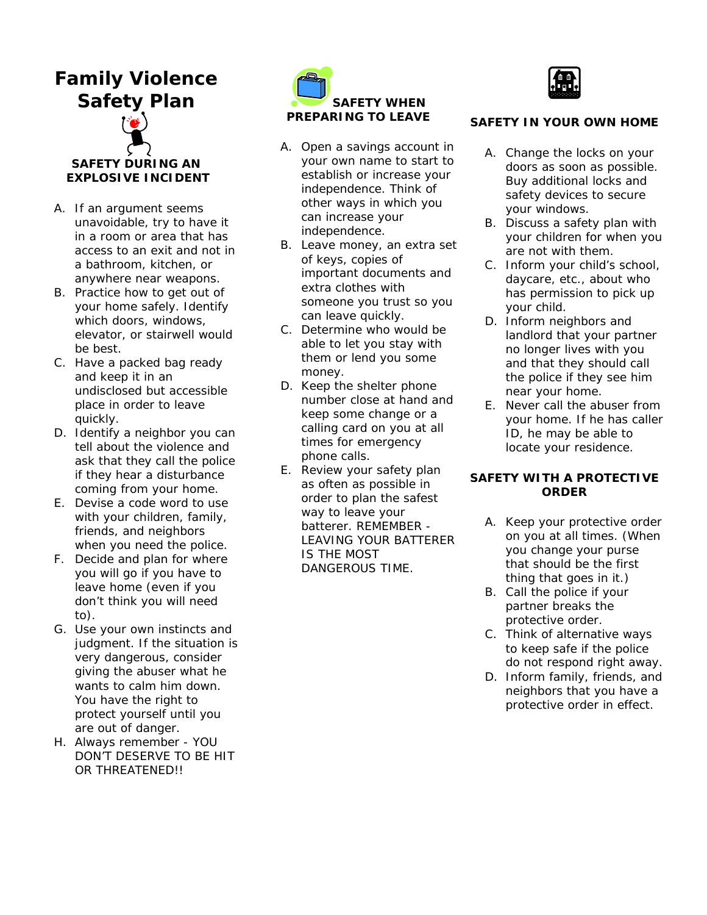# **Family Violence Safety Plan**



## **SAFETY DURING AN EXPLOSIVE INCIDENT**

- A. If an argument seems unavoidable, try to have it in a room or area that has access to an exit and not in a bathroom, kitchen, or anywhere near weapons.
- B. Practice how to get out of your home safely. Identify which doors, windows, elevator, or stairwell would be best.
- C. Have a packed bag ready and keep it in an undisclosed but accessible place in order to leave quickly.
- D. Identify a neighbor you can tell about the violence and ask that they call the police if they hear a disturbance coming from your home.
- E. Devise a code word to use with your children, family, friends, and neighbors when you need the police.
- F. Decide and plan for where you will go if you have to leave home (even if you don't think you will need to).
- G. Use your own instincts and judgment. If the situation is very dangerous, consider giving the abuser what he wants to calm him down. You have the right to protect yourself until you are out of danger.
- H. Always remember YOU DON'T DESERVE TO BE HIT OR THREATENED!!



- A. Open a savings account in your own name to start to establish or increase your independence. Think of other ways in which you can increase your independence.
- B. Leave money, an extra set of keys, copies of important documents and extra clothes with someone you trust so you can leave quickly.
- C. Determine who would be able to let you stay with them or lend you some money.
- D. Keep the shelter phone number close at hand and keep some change or a calling card on you at all times for emergency phone calls.
- E. Review your safety plan as often as possible in order to plan the safest way to leave your batterer. REMEMBER - LEAVING YOUR BATTERER IS THE MOST DANGEROUS TIME.



## **SAFETY IN YOUR OWN HOME**

- A. Change the locks on your doors as soon as possible. Buy additional locks and safety devices to secure your windows.
- B. Discuss a safety plan with your children for when you are not with them.
- C. Inform your child's school, daycare, etc., about who has permission to pick up your child.
- D. Inform neighbors and landlord that your partner no longer lives with you and that they should call the police if they see him near your home.
- E. Never call the abuser from your home. If he has caller ID, he may be able to locate your residence.

## **SAFETY WITH A PROTECTIVE ORDER**

- A. Keep your protective order on you at all times. (When you change your purse that should be the first thing that goes in it.)
- B. Call the police if your partner breaks the protective order.
- C. Think of alternative ways to keep safe if the police do not respond right away.
- D. Inform family, friends, and neighbors that you have a protective order in effect.